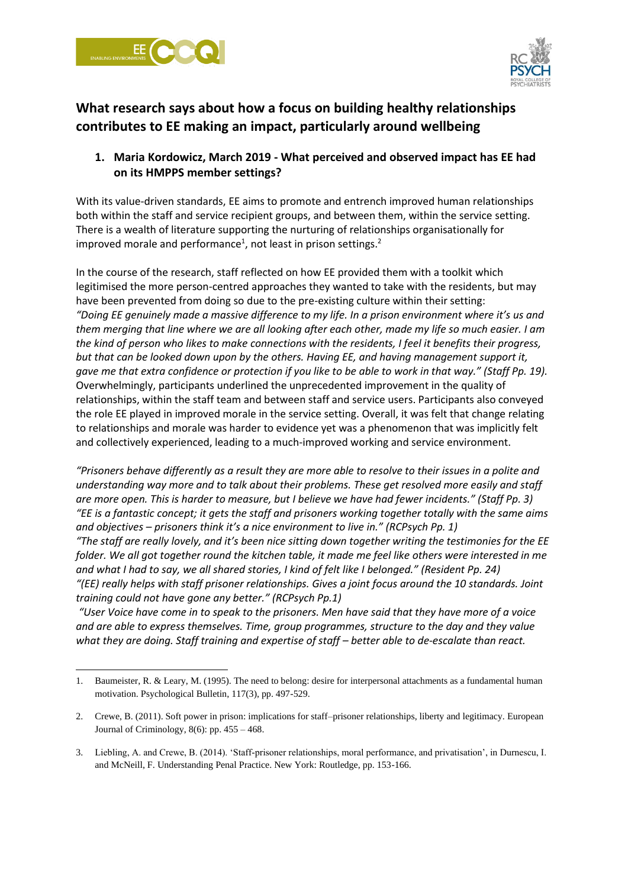



# **What research says about how a focus on building healthy relationships contributes to EE making an impact, particularly around wellbeing**

## **1. Maria Kordowicz, March 2019 - What perceived and observed impact has EE had on its HMPPS member settings?**

With its value-driven standards, EE aims to promote and entrench improved human relationships both within the staff and service recipient groups, and between them, within the service setting. There is a wealth of literature supporting the nurturing of relationships organisationally for improved morale and performance<sup>1</sup>, not least in prison settings.<sup>2</sup>

In the course of the research, staff reflected on how EE provided them with a toolkit which legitimised the more person-centred approaches they wanted to take with the residents, but may have been prevented from doing so due to the pre-existing culture within their setting: *"Doing EE genuinely made a massive difference to my life. In a prison environment where it's us and them merging that line where we are all looking after each other, made my life so much easier. I am the kind of person who likes to make connections with the residents, I feel it benefits their progress, but that can be looked down upon by the others. Having EE, and having management support it, gave me that extra confidence or protection if you like to be able to work in that way." (Staff Pp. 19).* Overwhelmingly, participants underlined the unprecedented improvement in the quality of relationships, within the staff team and between staff and service users. Participants also conveyed the role EE played in improved morale in the service setting. Overall, it was felt that change relating to relationships and morale was harder to evidence yet was a phenomenon that was implicitly felt and collectively experienced, leading to a much-improved working and service environment.

*"Prisoners behave differently as a result they are more able to resolve to their issues in a polite and understanding way more and to talk about their problems. These get resolved more easily and staff are more open. This is harder to measure, but I believe we have had fewer incidents." (Staff Pp. 3) "EE is a fantastic concept; it gets the staff and prisoners working together totally with the same aims and objectives – prisoners think it's a nice environment to live in." (RCPsych Pp. 1) "The staff are really lovely, and it's been nice sitting down together writing the testimonies for the EE folder. We all got together round the kitchen table, it made me feel like others were interested in me* 

*and what I had to say, we all shared stories, I kind of felt like I belonged." (Resident Pp. 24) "(EE) really helps with staff prisoner relationships. Gives a joint focus around the 10 standards. Joint training could not have gone any better." (RCPsych Pp.1)*

*"User Voice have come in to speak to the prisoners. Men have said that they have more of a voice and are able to express themselves. Time, group programmes, structure to the day and they value what they are doing. Staff training and expertise of staff – better able to de-escalate than react.* 

<sup>1.</sup> Baumeister, R. & Leary, M. (1995). The need to belong: desire for interpersonal attachments as a fundamental human motivation. Psychological Bulletin, 117(3), pp. 497-529.

<sup>2.</sup> Crewe, B. (2011). Soft power in prison: implications for staff–prisoner relationships, liberty and legitimacy. European Journal of Criminology, 8(6): pp. 455 – 468.

<sup>3.</sup> Liebling, A. and Crewe, B. (2014). 'Staff-prisoner relationships, moral performance, and privatisation', in Durnescu, I. and McNeill, F. Understanding Penal Practice. New York: Routledge, pp. 153-166.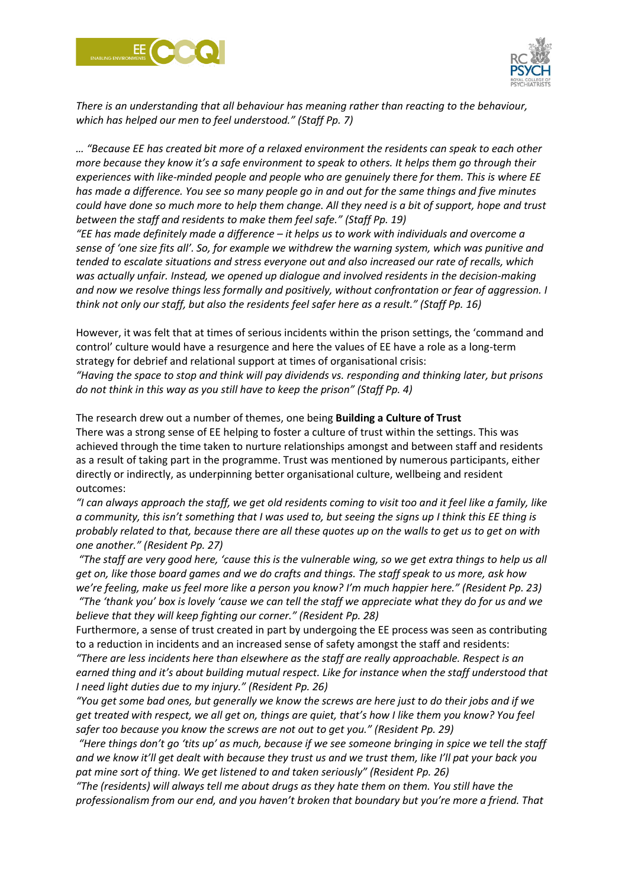



*There is an understanding that all behaviour has meaning rather than reacting to the behaviour, which has helped our men to feel understood." (Staff Pp. 7)*

*… "Because EE has created bit more of a relaxed environment the residents can speak to each other more because they know it's a safe environment to speak to others. It helps them go through their experiences with like-minded people and people who are genuinely there for them. This is where EE has made a difference. You see so many people go in and out for the same things and five minutes could have done so much more to help them change. All they need is a bit of support, hope and trust between the staff and residents to make them feel safe." (Staff Pp. 19)*

*"EE has made definitely made a difference – it helps us to work with individuals and overcome a sense of 'one size fits all'. So, for example we withdrew the warning system, which was punitive and tended to escalate situations and stress everyone out and also increased our rate of recalls, which was actually unfair. Instead, we opened up dialogue and involved residents in the decision-making and now we resolve things less formally and positively, without confrontation or fear of aggression. I think not only our staff, but also the residents feel safer here as a result." (Staff Pp. 16)*

However, it was felt that at times of serious incidents within the prison settings, the 'command and control' culture would have a resurgence and here the values of EE have a role as a long-term strategy for debrief and relational support at times of organisational crisis: *"Having the space to stop and think will pay dividends vs. responding and thinking later, but prisons do not think in this way as you still have to keep the prison" (Staff Pp. 4)*

The research drew out a number of themes, one being **Building a Culture of Trust** There was a strong sense of EE helping to foster a culture of trust within the settings. This was achieved through the time taken to nurture relationships amongst and between staff and residents as a result of taking part in the programme. Trust was mentioned by numerous participants, either directly or indirectly, as underpinning better organisational culture, wellbeing and resident outcomes:

*"I can always approach the staff, we get old residents coming to visit too and it feel like a family, like a community, this isn't something that I was used to, but seeing the signs up I think this EE thing is probably related to that, because there are all these quotes up on the walls to get us to get on with one another." (Resident Pp. 27)*

*"The staff are very good here, 'cause this is the vulnerable wing, so we get extra things to help us all get on, like those board games and we do crafts and things. The staff speak to us more, ask how we're feeling, make us feel more like a person you know? I'm much happier here." (Resident Pp. 23)*

*"The 'thank you' box is lovely 'cause we can tell the staff we appreciate what they do for us and we believe that they will keep fighting our corner." (Resident Pp. 28)*

Furthermore, a sense of trust created in part by undergoing the EE process was seen as contributing to a reduction in incidents and an increased sense of safety amongst the staff and residents: *"There are less incidents here than elsewhere as the staff are really approachable. Respect is an* 

*earned thing and it's about building mutual respect. Like for instance when the staff understood that I need light duties due to my injury." (Resident Pp. 26)* 

*"You get some bad ones, but generally we know the screws are here just to do their jobs and if we get treated with respect, we all get on, things are quiet, that's how I like them you know? You feel safer too because you know the screws are not out to get you." (Resident Pp. 29)*

*"Here things don't go 'tits up' as much, because if we see someone bringing in spice we tell the staff and we know it'll get dealt with because they trust us and we trust them, like I'll pat your back you pat mine sort of thing. We get listened to and taken seriously" (Resident Pp. 26)*

*"The (residents) will always tell me about drugs as they hate them on them. You still have the professionalism from our end, and you haven't broken that boundary but you're more a friend. That*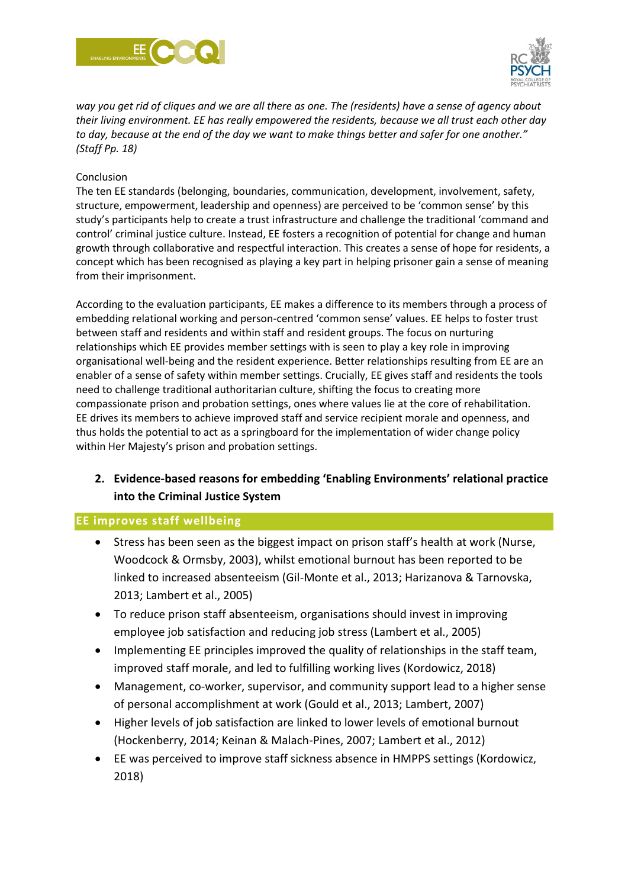



*way you get rid of cliques and we are all there as one. The (residents) have a sense of agency about their living environment. EE has really empowered the residents, because we all trust each other day to day, because at the end of the day we want to make things better and safer for one another." (Staff Pp. 18)*

#### Conclusion

The ten EE standards (belonging, boundaries, communication, development, involvement, safety, structure, empowerment, leadership and openness) are perceived to be 'common sense' by this study's participants help to create a trust infrastructure and challenge the traditional 'command and control' criminal justice culture. Instead, EE fosters a recognition of potential for change and human growth through collaborative and respectful interaction. This creates a sense of hope for residents, a concept which has been recognised as playing a key part in helping prisoner gain a sense of meaning from their imprisonment.

According to the evaluation participants, EE makes a difference to its members through a process of embedding relational working and person-centred 'common sense' values. EE helps to foster trust between staff and residents and within staff and resident groups. The focus on nurturing relationships which EE provides member settings with is seen to play a key role in improving organisational well-being and the resident experience. Better relationships resulting from EE are an enabler of a sense of safety within member settings. Crucially, EE gives staff and residents the tools need to challenge traditional authoritarian culture, shifting the focus to creating more compassionate prison and probation settings, ones where values lie at the core of rehabilitation. EE drives its members to achieve improved staff and service recipient morale and openness, and thus holds the potential to act as a springboard for the implementation of wider change policy within Her Majesty's prison and probation settings.

# **2. Evidence-based reasons for embedding 'Enabling Environments' relational practice into the Criminal Justice System**

### **EE improves staff wellbeing**

- Stress has been seen as the biggest impact on prison staff's health at work (Nurse, Woodcock & Ormsby, 2003), whilst emotional burnout has been reported to be linked to increased absenteeism (Gil-Monte et al., 2013; Harizanova & Tarnovska, 2013; Lambert et al., 2005)
- To reduce prison staff absenteeism, organisations should invest in improving employee job satisfaction and reducing job stress (Lambert et al., 2005)
- Implementing EE principles improved the quality of relationships in the staff team, improved staff morale, and led to fulfilling working lives (Kordowicz, 2018)
- Management, co-worker, supervisor, and community support lead to a higher sense of personal accomplishment at work (Gould et al., 2013; Lambert, 2007)
- Higher levels of job satisfaction are linked to lower levels of emotional burnout (Hockenberry, 2014; Keinan & Malach-Pines, 2007; Lambert et al., 2012)
- EE was perceived to improve staff sickness absence in HMPPS settings (Kordowicz, 2018)